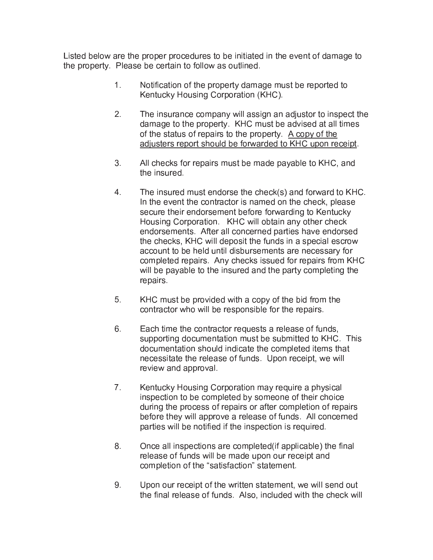Listed below are the proper procedures to be initiated in the event of damage to the property. Please be certain to follow as outlined.

- $1_{-}$ Notification of the property damage must be reported to Kentucky Housing Corporation (KHC).
- $2.$ The insurance company will assign an adjustor to inspect the damage to the property. KHC must be advised at all times of the status of repairs to the property. A copy of the adjusters report should be forwarded to KHC upon receipt.
- 3. All checks for repairs must be made payable to KHC, and the insured.
- $4<sub>1</sub>$ The insured must endorse the check(s) and forward to KHC. In the event the contractor is named on the check, please secure their endorsement before forwarding to Kentucky Housing Corporation. KHC will obtain any other check endorsements. After all concerned parties have endorsed the checks, KHC will deposit the funds in a special escrow account to be held until disbursements are necessary for completed repairs. Any checks issued for repairs from KHC will be payable to the insured and the party completing the repairs.
- 5. KHC must be provided with a copy of the bid from the contractor who will be responsible for the repairs.
- $6<sup>1</sup>$ Each time the contractor requests a release of funds, supporting documentation must be submitted to KHC. This documentation should indicate the completed items that necessitate the release of funds. Upon receipt, we will review and approval.
- $7<sup>1</sup>$ Kentucky Housing Corporation may require a physical inspection to be completed by someone of their choice during the process of repairs or after completion of repairs before they will approve a release of funds. All concerned parties will be notified if the inspection is required.
- $8<sub>1</sub>$ Once all inspections are completed (if applicable) the final release of funds will be made upon our receipt and completion of the "satisfaction" statement.
- $9<sub>1</sub>$ Upon our receipt of the written statement, we will send out the final release of funds. Also, included with the check will